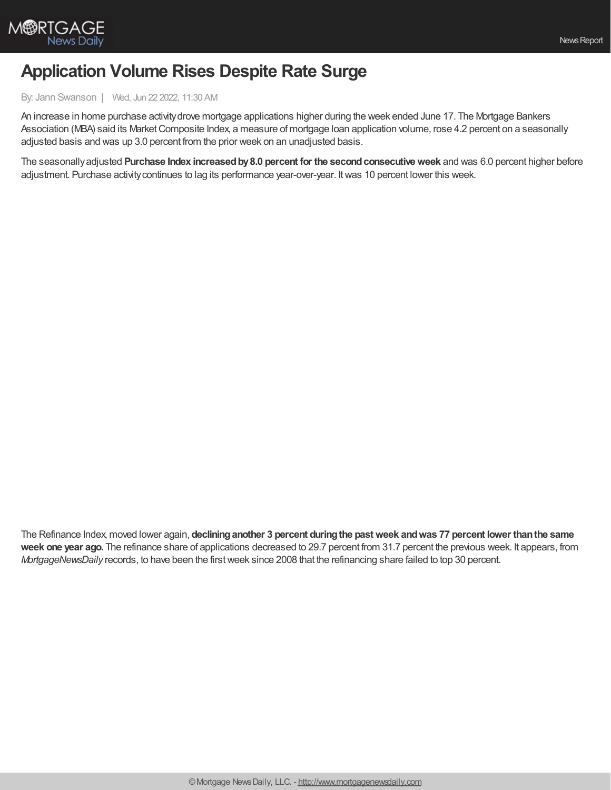

## **Application Volume Rises Despite Rate Surge**

## By: Jann Swanson | Wed, Jun 22 2022, 11:30 AM

An increase in home purchase activitydrove mortgage applications higher during the week ended June 17. The Mortgage Bankers Association (MBA) said its MarketComposite Index, a measure of mortgage loan application volume, rose 4.2 percent on a seasonally adjusted basis and was up 3.0 percent from the prior week on an unadjusted basis.

The seasonallyadjusted **Purchase Index increasedby8.0 percent for the secondconsecutiveweek** and was 6.0 percent higher before adjustment. Purchase activitycontinues to lag its performance year-over-year. Itwas 10 percent lower this week.

The Refinance Index, moved lower again, **declininganother 3 percent duringthe pastweek andwas 77 percent lower thanthe same week one year ago.** The refinance share of applications decreased to 29.7 percent from 31.7 percent the previous week. It appears, from *MortgageNewsDaily* records, to have been the firstweek since 2008 that the refinancing share failed to top 30 percent.